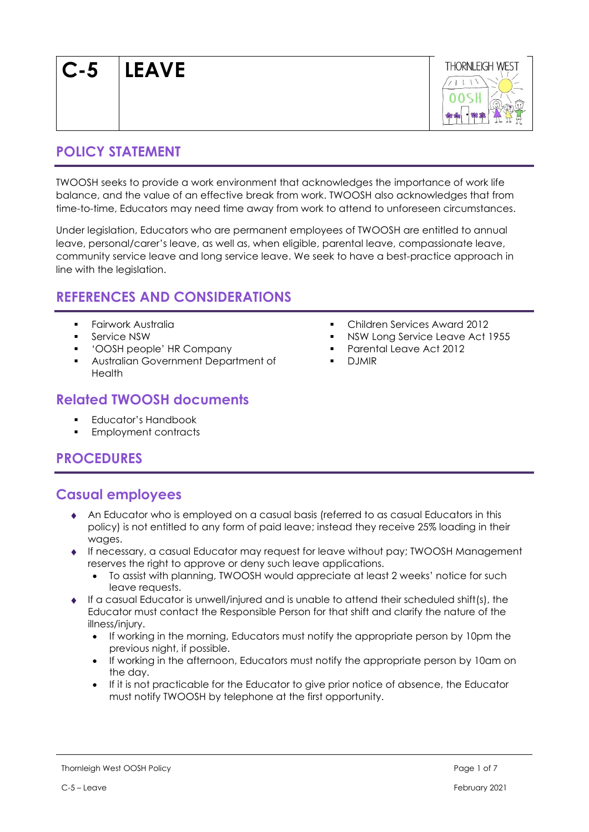**C-5 LEAVE**



## **POLICY STATEMENT**

TWOOSH seeks to provide a work environment that acknowledges the importance of work life balance, and the value of an effective break from work. TWOOSH also acknowledges that from time-to-time, Educators may need time away from work to attend to unforeseen circumstances.

Under legislation, Educators who are permanent employees of TWOOSH are entitled to annual leave, personal/carer's leave, as well as, when eligible, parental leave, compassionate leave, community service leave and long service leave. We seek to have a best-practice approach in line with the legislation.

# **REFERENCES AND CONSIDERATIONS**

- **Fairwork Australia**
- Service NSW
- 'OOSH people' HR Company
- Australian Government Department of Health

## **Related TWOOSH documents**

- Educator's Handbook
- Employment contracts

# **PROCEDURES**

# **Casual employees**

- An Educator who is employed on a casual basis (referred to as casual Educators in this policy) is not entitled to any form of paid leave; instead they receive 25% loading in their wages.
- If necessary, a casual Educator may request for leave without pay; TWOOSH Management reserves the right to approve or deny such leave applications.
	- To assist with planning, TWOOSH would appreciate at least 2 weeks' notice for such leave requests.
- If a casual Educator is unwell/injured and is unable to attend their scheduled shift(s), the Educator must contact the Responsible Person for that shift and clarify the nature of the illness/injury.
	- If working in the morning, Educators must notify the appropriate person by 10pm the previous night, if possible.
	- If working in the afternoon, Educators must notify the appropriate person by 10am on the day.
	- If it is not practicable for the Educator to give prior notice of absence, the Educator must notify TWOOSH by telephone at the first opportunity.
- Children Services Award 2012
- NSW Long Service Leave Act 1955
- Parental Leave Act 2012
- **DJMIR**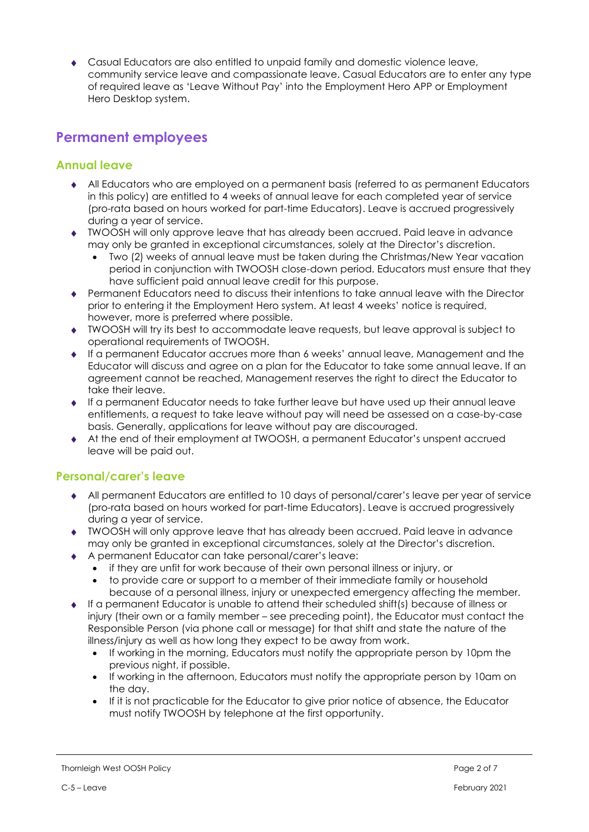Casual Educators are also entitled to unpaid family and domestic violence leave, community service leave and compassionate leave. Casual Educators are to enter any type of required leave as 'Leave Without Pay' into the Employment Hero APP or Employment Hero Desktop system.

## **Permanent employees**

## **Annual leave**

- All Educators who are employed on a permanent basis (referred to as permanent Educators in this policy) are entitled to 4 weeks of annual leave for each completed year of service (pro-rata based on hours worked for part-time Educators). Leave is accrued progressively during a year of service.
- TWOOSH will only approve leave that has already been accrued. Paid leave in advance may only be granted in exceptional circumstances, solely at the Director's discretion.
	- Two (2) weeks of annual leave must be taken during the Christmas/New Year vacation period in conjunction with TWOOSH close-down period. Educators must ensure that they have sufficient paid annual leave credit for this purpose.
- Permanent Educators need to discuss their intentions to take annual leave with the Director prior to entering it the Employment Hero system. At least 4 weeks' notice is required, however, more is preferred where possible.
- TWOOSH will try its best to accommodate leave requests, but leave approval is subject to operational requirements of TWOOSH.
- If a permanent Educator accrues more than 6 weeks' annual leave, Management and the Educator will discuss and agree on a plan for the Educator to take some annual leave. If an agreement cannot be reached, Management reserves the right to direct the Educator to take their leave.
- If a permanent Educator needs to take further leave but have used up their annual leave entitlements, a request to take leave without pay will need be assessed on a case-by-case basis. Generally, applications for leave without pay are discouraged.
- At the end of their employment at TWOOSH, a permanent Educator's unspent accrued leave will be paid out.

## **Personal/carer's leave**

- All permanent Educators are entitled to 10 days of personal/carer's leave per year of service (pro-rata based on hours worked for part-time Educators). Leave is accrued progressively during a year of service.
- TWOOSH will only approve leave that has already been accrued. Paid leave in advance may only be granted in exceptional circumstances, solely at the Director's discretion.
- A permanent Educator can take personal/carer's leave:
	- if they are unfit for work because of their own personal illness or injury, or
	- to provide care or support to a member of their immediate family or household because of a personal illness, injury or unexpected emergency affecting the member.
- If a permanent Educator is unable to attend their scheduled shift(s) because of illness or injury (their own or a family member – see preceding point), the Educator must contact the Responsible Person (via phone call or message) for that shift and state the nature of the illness/injury as well as how long they expect to be away from work.
	- If working in the morning, Educators must notify the appropriate person by 10pm the previous night, if possible.
	- If working in the afternoon, Educators must notify the appropriate person by 10am on the day.
	- If it is not practicable for the Educator to give prior notice of absence, the Educator must notify TWOOSH by telephone at the first opportunity.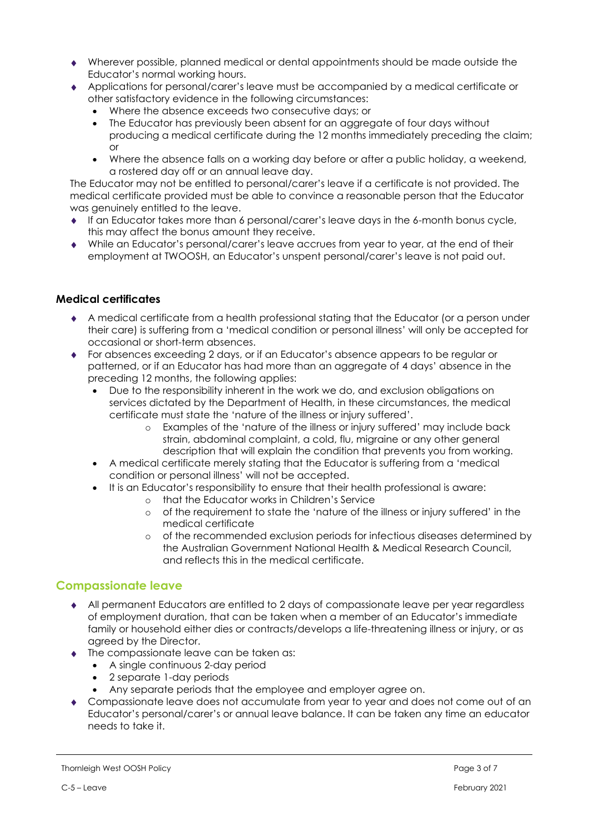- Wherever possible, planned medical or dental appointments should be made outside the Educator's normal working hours.
- Applications for personal/carer's leave must be accompanied by a medical certificate or other satisfactory evidence in the following circumstances:
	- Where the absence exceeds two consecutive days; or
	- The Educator has previously been absent for an aggregate of four days without producing a medical certificate during the 12 months immediately preceding the claim; or
	- Where the absence falls on a working day before or after a public holiday, a weekend, a rostered day off or an annual leave day.

The Educator may not be entitled to personal/carer's leave if a certificate is not provided. The medical certificate provided must be able to convince a reasonable person that the Educator was genuinely entitled to the leave.

- If an Educator takes more than 6 personal/carer's leave days in the 6-month bonus cycle, this may affect the bonus amount they receive.
- While an Educator's personal/carer's leave accrues from year to year, at the end of their employment at TWOOSH, an Educator's unspent personal/carer's leave is not paid out.

### **Medical certificates**

- A medical certificate from a health professional stating that the Educator (or a person under their care) is suffering from a 'medical condition or personal illness' will only be accepted for occasional or short-term absences.
- For absences exceeding 2 days, or if an Educator's absence appears to be regular or patterned, or if an Educator has had more than an aggregate of 4 days' absence in the preceding 12 months, the following applies:
	- Due to the responsibility inherent in the work we do, and exclusion obligations on services dictated by the Department of Health, in these circumstances, the medical certificate must state the 'nature of the illness or injury suffered'.
		- o Examples of the 'nature of the illness or injury suffered' may include back strain, abdominal complaint, a cold, flu, migraine or any other general description that will explain the condition that prevents you from working.
	- A medical certificate merely stating that the Educator is suffering from a 'medical condition or personal illness' will not be accepted.
		- It is an Educator's responsibility to ensure that their health professional is aware:
			- o that the Educator works in Children's Service
			- o of the requirement to state the 'nature of the illness or injury suffered' in the medical certificate
			- o of the recommended exclusion periods for infectious diseases determined by the Australian Government National Health & Medical Research Council, and reflects this in the medical certificate.

### **Compassionate leave**

- All permanent Educators are entitled to 2 days of compassionate leave per year regardless of employment duration, that can be taken when a member of an Educator's immediate family or household either dies or contracts/develops a life-threatening illness or injury, or as agreed by the Director.
- $\bullet$  The compassionate leave can be taken as:
	- A single continuous 2-day period
	- 2 separate 1-day periods
	- Any separate periods that the employee and employer agree on.
- Compassionate leave does not accumulate from year to year and does not come out of an Educator's personal/carer's or annual leave balance. It can be taken any time an educator needs to take it.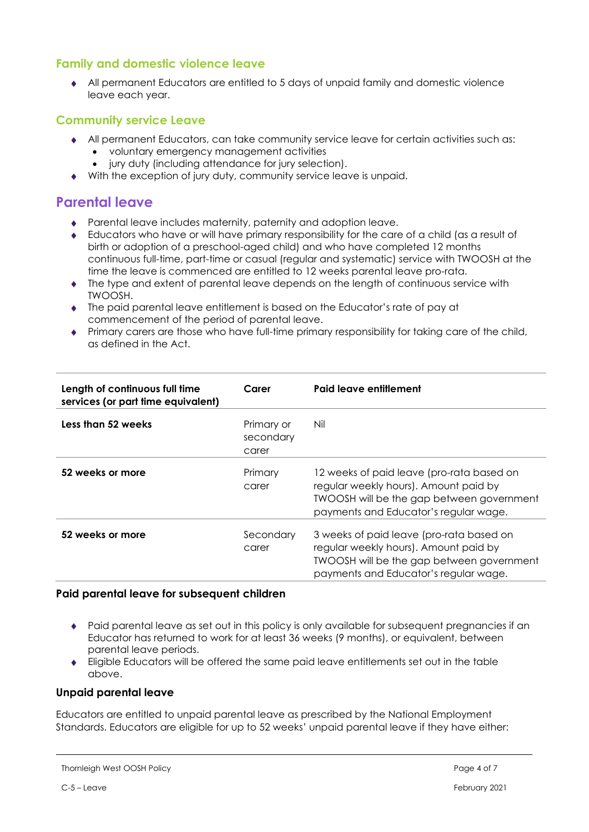## **Family and domestic violence leave**

 All permanent Educators are entitled to 5 days of unpaid family and domestic violence leave each year.

### **Community service Leave**

- All permanent Educators, can take community service leave for certain activities such as:
	- voluntary emergency management activities
	- jury duty (including attendance for jury selection).
- With the exception of jury duty, community service leave is unpaid.

## **Parental leave**

- Parental leave includes maternity, paternity and adoption leave.
- Educators who have or will have primary responsibility for the care of a child (as a result of birth or adoption of a preschool-aged child) and who have completed 12 months continuous full-time, part-time or casual (regular and systematic) service with TWOOSH at the time the leave is commenced are entitled to 12 weeks parental leave pro-rata.
- The type and extent of parental leave depends on the length of continuous service with TWOOSH.
- The paid parental leave entitlement is based on the Educator's rate of pay at commencement of the period of parental leave.
- Primary carers are those who have full-time primary responsibility for taking care of the child, as defined in the Act.

| Length of continuous full time<br>services (or part time equivalent) | Carer                            | Paid leave entitlement                                                                                                                                                          |
|----------------------------------------------------------------------|----------------------------------|---------------------------------------------------------------------------------------------------------------------------------------------------------------------------------|
| Less than 52 weeks                                                   | Primary or<br>secondary<br>carer | Nil                                                                                                                                                                             |
| 52 weeks or more                                                     | Primary<br>carer                 | 12 weeks of paid leave (pro-rata based on<br>regular weekly hours). Amount paid by<br><b>TWOOSH will be the gap between government</b><br>payments and Educator's regular wage. |
| 52 weeks or more                                                     | Secondary<br>carer               | 3 weeks of paid leave (pro-rata based on<br>regular weekly hours). Amount paid by<br><b>TWOOSH will be the gap between government</b><br>payments and Educator's regular wage.  |

### **Paid parental leave for subsequent children**

- Paid parental leave as set out in this policy is only available for subsequent pregnancies if an Educator has returned to work for at least 36 weeks (9 months), or equivalent, between parental leave periods.
- Eligible Educators will be offered the same paid leave entitlements set out in the table above.

### **Unpaid parental leave**

Educators are entitled to unpaid parental leave as prescribed by the National Employment Standards. Educators are eligible for up to 52 weeks' unpaid parental leave if they have either:

```
Thornleigh West OOSH Policy Page 4 of 7
```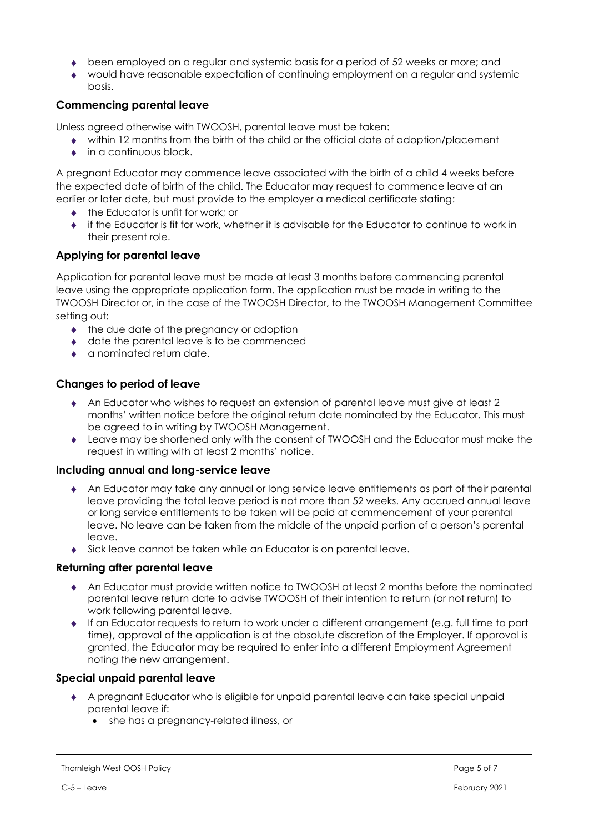- been employed on a regular and systemic basis for a period of 52 weeks or more; and
- would have reasonable expectation of continuing employment on a regular and systemic basis.

### **Commencing parental leave**

Unless agreed otherwise with TWOOSH, parental leave must be taken:

- within 12 months from the birth of the child or the official date of adoption/placement
- in a continuous block.

A pregnant Educator may commence leave associated with the birth of a child 4 weeks before the expected date of birth of the child. The Educator may request to commence leave at an earlier or later date, but must provide to the employer a medical certificate stating:

- ◆ the Educator is unfit for work; or
- $\bullet$  if the Educator is fit for work, whether it is advisable for the Educator to continue to work in their present role.

### **Applying for parental leave**

Application for parental leave must be made at least 3 months before commencing parental leave using the appropriate application form. The application must be made in writing to the TWOOSH Director or, in the case of the TWOOSH Director, to the TWOOSH Management Committee setting out:

- $\bullet$  the due date of the pregnancy or adoption
- ◆ date the parental leave is to be commenced
- a nominated return date.

### **Changes to period of leave**

- An Educator who wishes to request an extension of parental leave must give at least 2 months' written notice before the original return date nominated by the Educator. This must be agreed to in writing by TWOOSH Management.
- ◆ Leave may be shortened only with the consent of TWOOSH and the Educator must make the request in writing with at least 2 months' notice.

#### **Including annual and long-service leave**

- An Educator may take any annual or long service leave entitlements as part of their parental leave providing the total leave period is not more than 52 weeks. Any accrued annual leave or long service entitlements to be taken will be paid at commencement of your parental leave. No leave can be taken from the middle of the unpaid portion of a person's parental leave.
- Sick leave cannot be taken while an Educator is on parental leave.

#### **Returning after parental leave**

- An Educator must provide written notice to TWOOSH at least 2 months before the nominated parental leave return date to advise TWOOSH of their intention to return (or not return) to work following parental leave.
- If an Educator requests to return to work under a different arrangement (e.g. full time to part time), approval of the application is at the absolute discretion of the Employer. If approval is granted, the Educator may be required to enter into a different Employment Agreement noting the new arrangement.

#### **Special unpaid parental leave**

- A pregnant Educator who is eligible for unpaid parental leave can take special unpaid parental leave if:
	- she has a pregnancy-related illness, or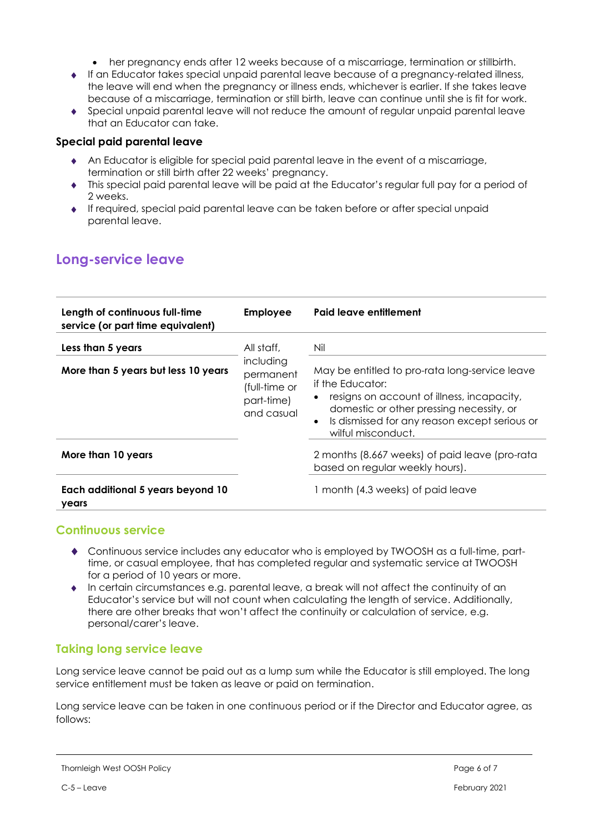- her pregnancy ends after 12 weeks because of a miscarriage, termination or stillbirth.
- If an Educator takes special unpaid parental leave because of a pregnancy-related illness, the leave will end when the pregnancy or illness ends, whichever is earlier. If she takes leave because of a miscarriage, termination or still birth, leave can continue until she is fit for work.
- Special unpaid parental leave will not reduce the amount of regular unpaid parental leave that an Educator can take.

#### **Special paid parental leave**

- An Educator is eligible for special paid parental leave in the event of a miscarriage, termination or still birth after 22 weeks' pregnancy.
- This special paid parental leave will be paid at the Educator's regular full pay for a period of 2 weeks.
- If required, special paid parental leave can be taken before or after special unpaid parental leave.

## **Long-service leave**

| Length of continuous full-time<br>service (or part time equivalent) | Employee                                                                          | Paid leave entitlement                                                                                                                                                                                                                                    |
|---------------------------------------------------------------------|-----------------------------------------------------------------------------------|-----------------------------------------------------------------------------------------------------------------------------------------------------------------------------------------------------------------------------------------------------------|
| Less than 5 years<br>More than 5 years but less 10 years            | All staff,<br>including<br>permanent<br>(full-time or<br>part-time)<br>and casual | Nil<br>May be entitled to pro-rata long-service leave<br>if the Educator:<br>• resigns on account of illness, incapacity,<br>domestic or other pressing necessity, or<br>Is dismissed for any reason except serious or<br>$\bullet$<br>wilful misconduct. |
| More than 10 years<br>Each additional 5 years beyond 10<br>years    |                                                                                   | 2 months (8.667 weeks) of paid leave (pro-rata<br>based on regular weekly hours).<br>1 month (4.3 weeks) of paid leave                                                                                                                                    |

### **Continuous service**

- Continuous service includes any educator who is employed by TWOOSH as a full-time, parttime, or casual employee, that has completed regular and systematic service at TWOOSH for a period of 10 years or more.
- $\bullet$  In certain circumstances e.g. parental leave, a break will not affect the continuity of an Educator's service but will not count when calculating the length of service. Additionally, there are other breaks that won't affect the continuity or calculation of service, e.g. personal/carer's leave.

### **Taking long service leave**

Long service leave cannot be paid out as a lump sum while the Educator is still employed. The long service entitlement must be taken as leave or paid on termination.

Long service leave can be taken in one continuous period or if the Director and Educator agree, as follows: